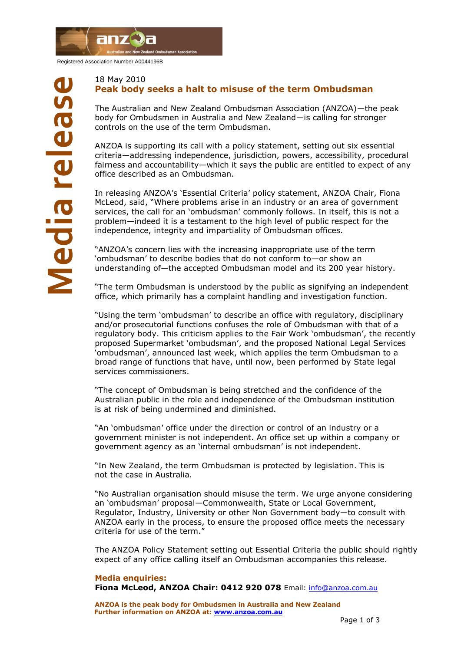

Registered Association Number A0044196B

## 18 May 2010 **Peak body seeks a halt to misuse of the term Ombudsman**

The Australian and New Zealand Ombudsman Association (ANZOA)—the peak body for Ombudsmen in Australia and New Zealand—is calling for stronger controls on the use of the term Ombudsman.

ANZOA is supporting its call with a policy statement, setting out six essential criteria—addressing independence, jurisdiction, powers, accessibility, procedural fairness and accountability—which it says the public are entitled to expect of any office described as an Ombudsman.

In releasing ANZOA"s "Essential Criteria" policy statement, ANZOA Chair, Fiona McLeod, said, "Where problems arise in an industry or an area of government services, the call for an 'ombudsman' commonly follows. In itself, this is not a problem—indeed it is a testament to the high level of public respect for the independence, integrity and impartiality of Ombudsman offices.

"ANZOA"s concern lies with the increasing inappropriate use of the term "ombudsman" to describe bodies that do not conform to—or show an understanding of—the accepted Ombudsman model and its 200 year history.

"The term Ombudsman is understood by the public as signifying an independent office, which primarily has a complaint handling and investigation function.

"Using the term "ombudsman" to describe an office with regulatory, disciplinary and/or prosecutorial functions confuses the role of Ombudsman with that of a regulatory body. This criticism applies to the Fair Work "ombudsman", the recently proposed Supermarket "ombudsman", and the proposed National Legal Services "ombudsman", announced last week, which applies the term Ombudsman to a broad range of functions that have, until now, been performed by State legal services commissioners.

"The concept of Ombudsman is being stretched and the confidence of the Australian public in the role and independence of the Ombudsman institution is at risk of being undermined and diminished.

"An "ombudsman" office under the direction or control of an industry or a government minister is not independent. An office set up within a company or government agency as an "internal ombudsman" is not independent.

"In New Zealand, the term Ombudsman is protected by legislation. This is not the case in Australia.

"No Australian organisation should misuse the term. We urge anyone considering an "ombudsman" proposal—Commonwealth, State or Local Government, Regulator, Industry, University or other Non Government body—to consult with ANZOA early in the process, to ensure the proposed office meets the necessary criteria for use of the term."

The ANZOA Policy Statement setting out Essential Criteria the public should rightly expect of any office calling itself an Ombudsman accompanies this release.

## **Media enquiries:**

**Fiona McLeod, ANZOA Chair: 0412 920 078** Email: [info@anzoa.com.au](mailto:info@anzoa.com.au)

**ANZOA is the peak body for Ombudsmen in Australia and New Zealand Further information on ANZOA at: [www.anzoa.com.au](http://www.anzoa.com.au/)**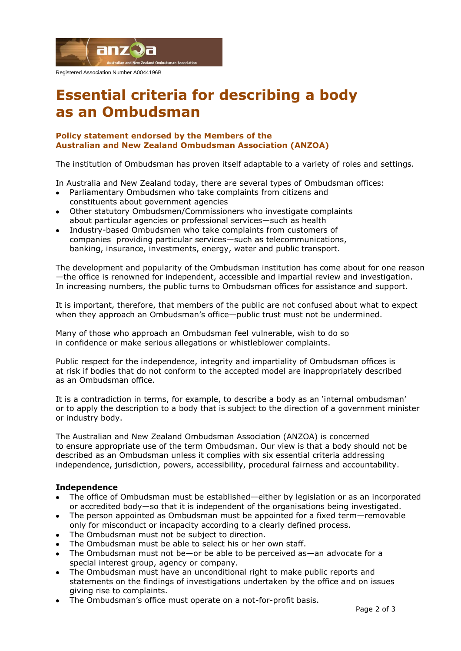

# **Essential criteria for describing a body as an Ombudsman**

# **Policy statement endorsed by the Members of the Australian and New Zealand Ombudsman Association (ANZOA)**

The institution of Ombudsman has proven itself adaptable to a variety of roles and settings.

In Australia and New Zealand today, there are several types of Ombudsman offices:

- Parliamentary Ombudsmen who take complaints from citizens and constituents about government agencies
- Other statutory Ombudsmen/Commissioners who investigate complaints about particular agencies or professional services—such as health
- Industry-based Ombudsmen who take complaints from customers of companies providing particular services—such as telecommunications, banking, insurance, investments, energy, water and public transport.

The development and popularity of the Ombudsman institution has come about for one reason —the office is renowned for independent, accessible and impartial review and investigation. In increasing numbers, the public turns to Ombudsman offices for assistance and support.

It is important, therefore, that members of the public are not confused about what to expect when they approach an Ombudsman's office—public trust must not be undermined.

Many of those who approach an Ombudsman feel vulnerable, wish to do so in confidence or make serious allegations or whistleblower complaints.

Public respect for the independence, integrity and impartiality of Ombudsman offices is at risk if bodies that do not conform to the accepted model are inappropriately described as an Ombudsman office.

It is a contradiction in terms, for example, to describe a body as an "internal ombudsman" or to apply the description to a body that is subject to the direction of a government minister or industry body.

The Australian and New Zealand Ombudsman Association (ANZOA) is concerned to ensure appropriate use of the term Ombudsman. Our view is that a body should not be described as an Ombudsman unless it complies with six essential criteria addressing independence, jurisdiction, powers, accessibility, procedural fairness and accountability.

# **Independence**

- The office of Ombudsman must be established—either by legislation or as an incorporated or accredited body—so that it is independent of the organisations being investigated.
- The person appointed as Ombudsman must be appointed for a fixed term—removable only for misconduct or incapacity according to a clearly defined process.
- The Ombudsman must not be subject to direction.
- The Ombudsman must be able to select his or her own staff.
- The Ombudsman must not be—or be able to be perceived as—an advocate for a special interest group, agency or company.
- The Ombudsman must have an unconditional right to make public reports and statements on the findings of investigations undertaken by the office and on issues giving rise to complaints.
- The Ombudsman's office must operate on a not-for-profit basis.